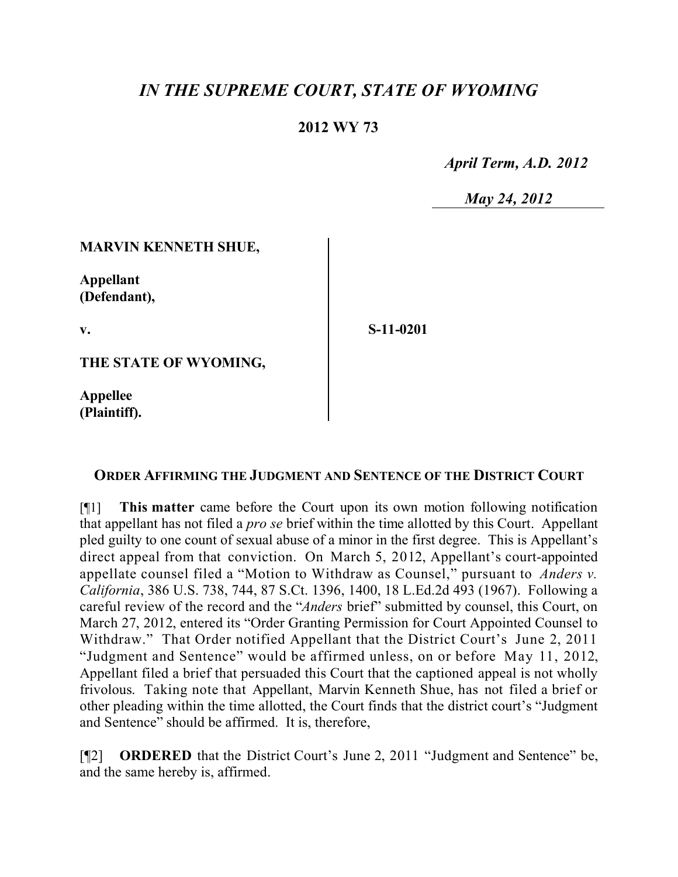# *IN THE SUPREME COURT, STATE OF WYOMING*

### **2012 WY 73**

 *April Term, A.D. 2012*

 *May 24, 2012*

#### **MARVIN KENNETH SHUE,**

**Appellant (Defendant),**

**v.**

**S-11-0201**

**THE STATE OF WYOMING,**

**Appellee (Plaintiff).**

#### **ORDER AFFIRMING THE JUDGMENT AND SENTENCE OF THE DISTRICT COURT**

[¶1] **This matter** came before the Court upon its own motion following notification that appellant has not filed a *pro se* brief within the time allotted by this Court. Appellant pled guilty to one count of sexual abuse of a minor in the first degree. This is Appellant's direct appeal from that conviction. On March 5, 2012, Appellant's court-appointed appellate counsel filed a "Motion to Withdraw as Counsel," pursuant to *Anders v. California*, 386 U.S. 738, 744, 87 S.Ct. 1396, 1400, 18 L.Ed.2d 493 (1967). Following a careful review of the record and the "*Anders* brief" submitted by counsel, this Court, on March 27, 2012, entered its "Order Granting Permission for Court Appointed Counsel to Withdraw." That Order notified Appellant that the District Court's June 2, 2011 "Judgment and Sentence" would be affirmed unless, on or before May 11, 2012, Appellant filed a brief that persuaded this Court that the captioned appeal is not wholly frivolous. Taking note that Appellant, Marvin Kenneth Shue, has not filed a brief or other pleading within the time allotted, the Court finds that the district court's "Judgment and Sentence" should be affirmed. It is, therefore,

[¶2] **ORDERED** that the District Court's June 2, 2011 "Judgment and Sentence" be, and the same hereby is, affirmed.